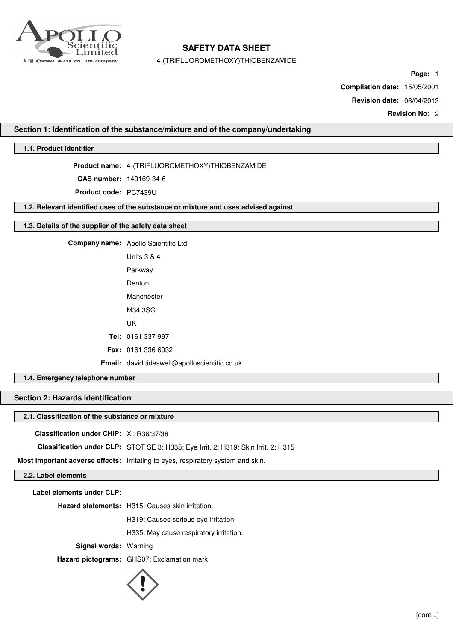

4-(TRIFLUOROMETHOXY)THIOBENZAMIDE

**Page:** 1

**Compilation date:** 15/05/2001

**Revision date:** 08/04/2013

**Revision No:** 2

### **Section 1: Identification of the substance/mixture and of the company/undertaking**

## **1.1. Product identifier**

**Product name:** 4-(TRIFLUOROMETHOXY)THIOBENZAMIDE

**CAS number:** 149169-34-6

**Product code:** PC7439U

**1.2. Relevant identified uses of the substance or mixture and uses advised against**

### **1.3. Details of the supplier of the safety data sheet**

**Company name:** Apollo Scientific Ltd Units 3 & 4 Parkway Denton Manchester M34 3SG UK **Tel:** 0161 337 9971 **Fax:** 0161 336 6932 **Email:** david.tideswell@apolloscientific.co.uk

## **1.4. Emergency telephone number**

# **Section 2: Hazards identification**

### **2.1. Classification of the substance or mixture**

**Classification under CHIP:** Xi: R36/37/38

**Classification under CLP:** STOT SE 3: H335; Eye Irrit. 2: H319; Skin Irrit. 2: H315

**Most important adverse effects:** Irritating to eyes, respiratory system and skin.

## **2.2. Label elements**

**Label elements under CLP:**

**Hazard statements:** H315: Causes skin irritation.

H319: Causes serious eye irritation.

H335: May cause respiratory irritation.

**Signal words:** Warning

**Hazard pictograms:** GHS07: Exclamation mark

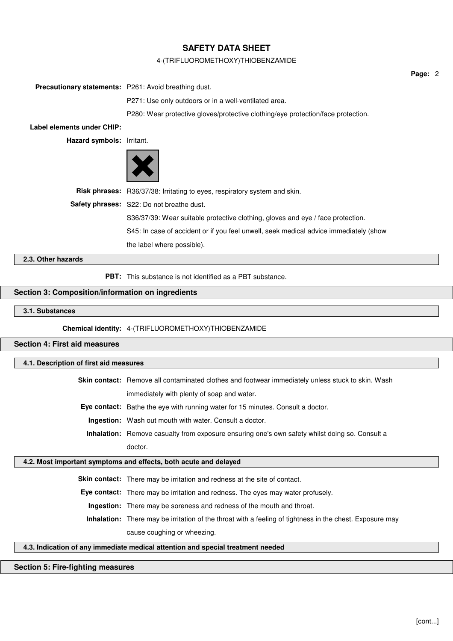### 4-(TRIFLUOROMETHOXY)THIOBENZAMIDE

|                                                              |                                                                                       | Page: 2 |  |
|--------------------------------------------------------------|---------------------------------------------------------------------------------------|---------|--|
| <b>Precautionary statements:</b> P261: Avoid breathing dust. |                                                                                       |         |  |
|                                                              | P271: Use only outdoors or in a well-ventilated area.                                 |         |  |
|                                                              | P280: Wear protective gloves/protective clothing/eye protection/face protection.      |         |  |
| Label elements under CHIP:                                   |                                                                                       |         |  |
| Hazard symbols: Irritant.                                    |                                                                                       |         |  |
|                                                              |                                                                                       |         |  |
|                                                              | Risk phrases: R36/37/38: Irritating to eyes, respiratory system and skin.             |         |  |
|                                                              | Safety phrases: S22: Do not breathe dust.                                             |         |  |
|                                                              | S36/37/39: Wear suitable protective clothing, gloves and eye / face protection.       |         |  |
|                                                              | S45: In case of accident or if you feel unwell, seek medical advice immediately (show |         |  |
|                                                              | the label where possible).                                                            |         |  |
| 2.3. Other hazards                                           |                                                                                       |         |  |
|                                                              | <b>PBT:</b> This substance is not identified as a PBT substance.                      |         |  |

# **Section 3: Composition/information on ingredients**

### **3.1. Substances**

**Chemical identity:** 4-(TRIFLUOROMETHOXY)THIOBENZAMIDE

## **Section 4: First aid measures**

## **4.1. Description of first aid measures**

**Skin contact:** Remove all contaminated clothes and footwear immediately unless stuck to skin. Wash immediately with plenty of soap and water.

**Eye contact:** Bathe the eye with running water for 15 minutes. Consult a doctor.

**Ingestion:** Wash out mouth with water. Consult a doctor.

**Inhalation:** Remove casualty from exposure ensuring one's own safety whilst doing so. Consult a doctor.

## **4.2. Most important symptoms and effects, both acute and delayed**

**Skin contact:** There may be irritation and redness at the site of contact.

**Eye contact:** There may be irritation and redness. The eyes may water profusely.

**Ingestion:** There may be soreness and redness of the mouth and throat.

**Inhalation:** There may be irritation of the throat with a feeling of tightness in the chest. Exposure may cause coughing or wheezing.

## **4.3. Indication of any immediate medical attention and special treatment needed**

### **Section 5: Fire-fighting measures**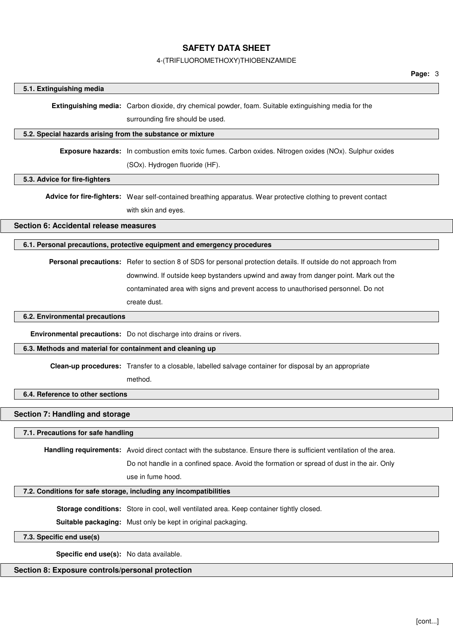#### 4-(TRIFLUOROMETHOXY)THIOBENZAMIDE

#### **5.1. Extinguishing media**

**Extinguishing media:** Carbon dioxide, dry chemical powder, foam. Suitable extinguishing media for the

surrounding fire should be used.

#### **5.2. Special hazards arising from the substance or mixture**

**Exposure hazards:** In combustion emits toxic fumes. Carbon oxides. Nitrogen oxides (NOx). Sulphur oxides (SOx). Hydrogen fluoride (HF).

#### **5.3. Advice for fire-fighters**

**Advice for fire-fighters:** Wear self-contained breathing apparatus. Wear protective clothing to prevent contact with skin and eyes.

**Section 6: Accidental release measures**

## **6.1. Personal precautions, protective equipment and emergency procedures**

**Personal precautions:** Refer to section 8 of SDS for personal protection details. If outside do not approach from downwind. If outside keep bystanders upwind and away from danger point. Mark out the contaminated area with signs and prevent access to unauthorised personnel. Do not create dust.

### **6.2. Environmental precautions**

**Environmental precautions:** Do not discharge into drains or rivers.

#### **6.3. Methods and material for containment and cleaning up**

**Clean-up procedures:** Transfer to a closable, labelled salvage container for disposal by an appropriate

method.

#### **6.4. Reference to other sections**

#### **Section 7: Handling and storage**

## **7.1. Precautions for safe handling**

**Handling requirements:** Avoid direct contact with the substance. Ensure there is sufficient ventilation of the area.

Do not handle in a confined space. Avoid the formation or spread of dust in the air. Only

use in fume hood.

#### **7.2. Conditions for safe storage, including any incompatibilities**

**Storage conditions:** Store in cool, well ventilated area. Keep container tightly closed.

**Suitable packaging:** Must only be kept in original packaging.

### **7.3. Specific end use(s)**

**Specific end use(s):** No data available.

### **Section 8: Exposure controls/personal protection**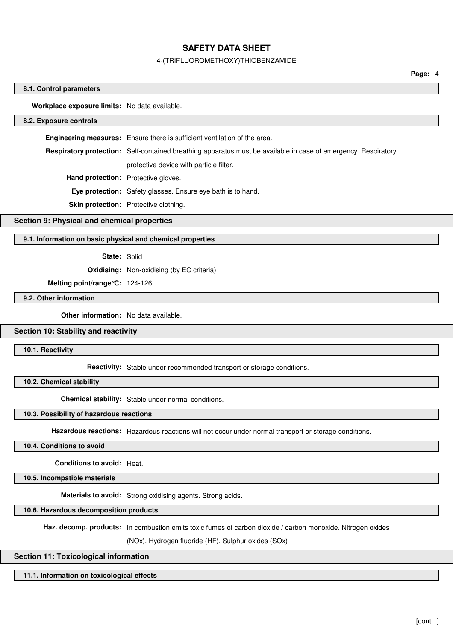#### 4-(TRIFLUOROMETHOXY)THIOBENZAMIDE

**Page:** 4

#### **8.1. Control parameters**

**Workplace exposure limits:** No data available.

#### **8.2. Exposure controls**

**Engineering measures:** Ensure there is sufficient ventilation of the area. **Respiratory protection:** Self-contained breathing apparatus must be available in case of emergency. Respiratory protective device with particle filter. **Hand protection:** Protective gloves. **Eye protection:** Safety glasses. Ensure eye bath is to hand. **Skin protection:** Protective clothing.

#### **Section 9: Physical and chemical properties**

#### **9.1. Information on basic physical and chemical properties**

#### **State:** Solid

**Oxidising:** Non-oxidising (by EC criteria)

**Melting point/range°C:** 124-126

## **9.2. Other information**

**Other information:** No data available.

#### **Section 10: Stability and reactivity**

**10.1. Reactivity**

**Reactivity:** Stable under recommended transport or storage conditions.

**10.2. Chemical stability**

**Chemical stability:** Stable under normal conditions.

#### **10.3. Possibility of hazardous reactions**

**Hazardous reactions:** Hazardous reactions will not occur under normal transport or storage conditions.

#### **10.4. Conditions to avoid**

**Conditions to avoid:** Heat.

**10.5. Incompatible materials**

**Materials to avoid:** Strong oxidising agents. Strong acids.

### **10.6. Hazardous decomposition products**

**Haz. decomp. products:** In combustion emits toxic fumes of carbon dioxide / carbon monoxide. Nitrogen oxides

(NOx). Hydrogen fluoride (HF). Sulphur oxides (SOx)

#### **Section 11: Toxicological information**

#### **11.1. Information on toxicological effects**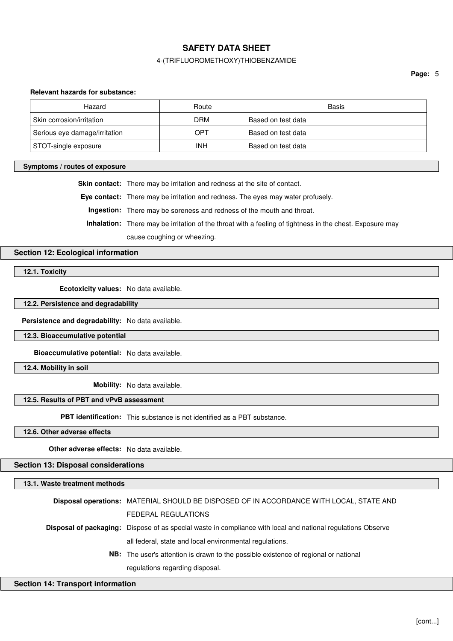### 4-(TRIFLUOROMETHOXY)THIOBENZAMIDE

#### **Relevant hazards for substance:**

| Hazard                        | Route      | Basis              |
|-------------------------------|------------|--------------------|
| Skin corrosion/irritation     | <b>DRM</b> | Based on test data |
| Serious eye damage/irritation | OPT        | Based on test data |
| STOT-single exposure          | INH        | Based on test data |

#### **Symptoms / routes of exposure**

**Skin contact:** There may be irritation and redness at the site of contact.

**Eye contact:** There may be irritation and redness. The eyes may water profusely.

**Ingestion:** There may be soreness and redness of the mouth and throat.

**Inhalation:** There may be irritation of the throat with a feeling of tightness in the chest. Exposure may

cause coughing or wheezing.

## **Section 12: Ecological information**

**12.1. Toxicity**

**Ecotoxicity values:** No data available.

**12.2. Persistence and degradability**

**Persistence and degradability:** No data available.

**12.3. Bioaccumulative potential**

**Bioaccumulative potential:** No data available.

**12.4. Mobility in soil**

**Mobility:** No data available.

## **12.5. Results of PBT and vPvB assessment**

**PBT identification:** This substance is not identified as a PBT substance.

**12.6. Other adverse effects**

**Other adverse effects:** No data available.

**Section 13: Disposal considerations**

## **13.1. Waste treatment methods**

| Disposal operations: MATERIAL SHOULD BE DISPOSED OF IN ACCORDANCE WITH LOCAL, STATE AND                             |
|---------------------------------------------------------------------------------------------------------------------|
| FEDERAL REGULATIONS                                                                                                 |
| <b>Disposal of packaging:</b> Dispose of as special waste in compliance with local and national regulations Observe |
| all federal, state and local environmental regulations.                                                             |
| <b>NB:</b> The user's attention is drawn to the possible existence of regional or national                          |
| regulations regarding disposal.                                                                                     |

#### **Section 14: Transport information**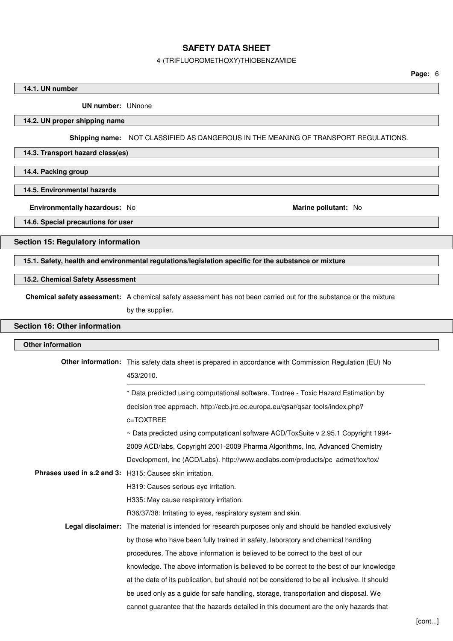## 4-(TRIFLUOROMETHOXY)THIOBENZAMIDE

## **14.1. UN number**

**UN number:** UNnone

## **14.2. UN proper shipping name**

**Shipping name:** NOT CLASSIFIED AS DANGEROUS IN THE MEANING OF TRANSPORT REGULATIONS.

## **14.3. Transport hazard class(es)**

**14.4. Packing group**

### **14.5. Environmental hazards**

**Environmentally hazardous:** No **Marine pollutant:** No **Marine pollutant:** No

**14.6. Special precautions for user**

## **Section 15: Regulatory information**

**15.1. Safety, health and environmental regulations/legislation specific for the substance or mixture**

## **15.2. Chemical Safety Assessment**

**Chemical safety assessment:** A chemical safety assessment has not been carried out for the substance or the mixture

by the supplier.

# **Section 16: Other information**

| <b>Other information</b> |                                                                                                                            |
|--------------------------|----------------------------------------------------------------------------------------------------------------------------|
|                          | <b>Other information:</b> This safety data sheet is prepared in accordance with Commission Regulation (EU) No<br>453/2010. |
|                          | * Data predicted using computational software. Toxtree - Toxic Hazard Estimation by                                        |
|                          | decision tree approach. http://ecb.jrc.ec.europa.eu/qsar/qsar-tools/index.php?                                             |
|                          | c=TOXTREE                                                                                                                  |
|                          | $\sim$ Data predicted using computatioanl software ACD/ToxSuite v 2.95.1 Copyright 1994-                                   |
|                          | 2009 ACD/labs, Copyright 2001-2009 Pharma Algorithms, Inc, Advanced Chemistry                                              |
|                          | Development, Inc (ACD/Labs). http://www.acdlabs.com/products/pc admet/tox/tox/                                             |
|                          | Phrases used in s.2 and 3: H315: Causes skin irritation.                                                                   |
|                          | H319: Causes serious eye irritation.                                                                                       |
|                          | H335: May cause respiratory irritation.                                                                                    |
|                          | R36/37/38: Irritating to eyes, respiratory system and skin.                                                                |
|                          | <b>Legal disclaimer:</b> The material is intended for research purposes only and should be handled exclusively             |
|                          | by those who have been fully trained in safety, laboratory and chemical handling                                           |
|                          | procedures. The above information is believed to be correct to the best of our                                             |
|                          | knowledge. The above information is believed to be correct to the best of our knowledge                                    |
|                          | at the date of its publication, but should not be considered to be all inclusive. It should                                |
|                          | be used only as a guide for safe handling, storage, transportation and disposal. We                                        |
|                          | cannot guarantee that the hazards detailed in this document are the only hazards that                                      |